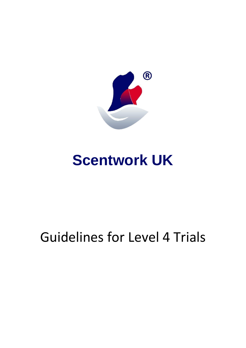

# **Scentwork UK**

# Guidelines for Level 4 Trials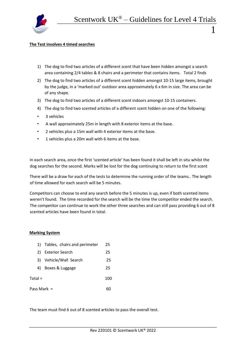

## **The Test involves 4 timed searches**

- 1) The dog to find two articles of a different scent that have been hidden amongst a search area containing 2/4 tables & 8 chairs and a perimeter that contains items. Total 2 finds
- 2) The dog to find two articles of a different scent hidden amongst 10-15 large items, brought by the judge, in a 'marked out' outdoor area approximately 6 x 6m in size. The area can be of any shape.
- 3) The dog to find two articles of a different scent indoors amongst 10-15 containers.
- 4) The dog to find two scented articles of a different scent hidden on one of the following:
- 3 vehicles
- A wall approximately 25m in length with 8 exterior items at the base.
- 2 vehicles plus a 15m wall with 4 exterior items at the base.
- 1 vehicles plus a 20m wall with 6 items at the base.

In each search area, once the first 'scented article' has been found it shall be left in situ whilst the dog searches for the second. Marks will be lost for the dog continuing to return to the first scent

There will be a draw for each of the tests to determine the running order of the teams.. The length of time allowed for each search will be 5 minutes.

Competitors can choose to end any search before the 5 minutes is up, even if both scented items weren't found. The time recorded for the search will be the time the competitor ended the search. The competitor can continue to work the other three searches and can still pass providing 6 out of 8 scented articles have been found in total.

# **Marking System**

|             | 1) Tables, chairs and perimeter | 25  |
|-------------|---------------------------------|-----|
| 2)          | <b>Exterior Search</b>          | 25  |
| 3)          | Vehicle/Wall Search             | 25  |
| 4)          | Boxes & Luggage                 | 25  |
| Total =     |                                 | 100 |
| Pass Mark = |                                 |     |

The team must find 6 out of 8 scented articles to pass the overall test.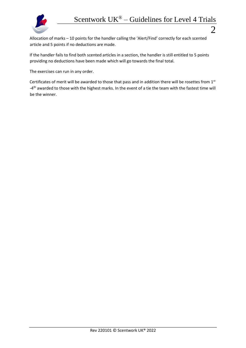

Allocation of marks – 10 points for the handler calling the 'Alert/Find' correctly for each scented article and 5 points if no deductions are made.

If the handler fails to find both scented articles in a section, the handler is still entitled to 5 points providing no deductions have been made which will go towards the final total.

The exercises can run in any order.

Certificates of merit will be awarded to those that pass and in addition there will be rosettes from 1st -4<sup>th</sup> awarded to those with the highest marks. In the event of a tie the team with the fastest time will be the winner.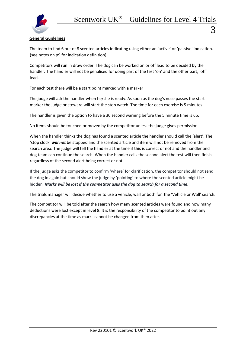# **General Guidelines**

The team to find 6 out of 8 scented articles indicating using either an 'active' or 'passive' indication. (see notes on p9 for indication definition)

Competitors will run in draw order. The dog can be worked on or off lead to be decided by the handler. The handler will not be penalised for doing part of the test 'on' and the other part, 'off' lead.

For each test there will be a start point marked with a marker

The judge will ask the handler when he/she is ready. As soon as the dog's nose passes the start marker the judge or steward will start the stop watch. The time for each exercise is 5 minutes.

The handler is given the option to have a 30 second warning before the 5 minute time is up.

No items should be touched or moved by the competitor unless the judge gives permission.

When the handler thinks the dog has found a scented article the handler should call the 'alert'. The 'stop clock' *will not* be stopped and the scented article and item will not be removed from the search area. The judge will tell the handler at the time if this is correct or not and the handler and dog team can continue the search. When the handler calls the second alert the test will then finish regardless of the second alert being correct or not.

If the judge asks the competitor to confirm 'where' for clarification, the competitor should not send the dog in again but should show the judge by 'pointing' to where the scented article might be hidden. *Marks will be lost if the competitor asks the dog to search for a second time.*

The trials manager will decide whether to use a vehicle, wall or both for the 'Vehicle or Wall' search.

The competitor will be told after the search how many scented articles were found and how many deductions were lost except in level 8. It is the responsibility of the competitor to point out any discrepancies at the time as marks cannot be changed from then after.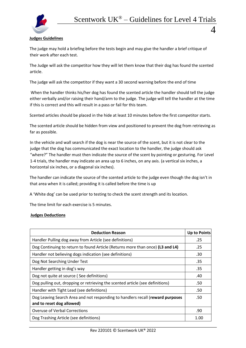

 $\varDelta$ 

# **Judges Guidelines**

The judge may hold a briefing before the tests begin and may give the handler a brief critique of their work after each test.

The Judge will ask the competitor how they will let them know that their dog has found the scented article.

The judge will ask the competitor if they want a 30 second warning before the end of time

When the handler thinks his/her dog has found the scented article the handler should tell the judge either verbally and/or raising their hand/arm to the judge. The judge will tell the handler at the time if this is correct and this will result in a pass or fail for this team.

Scented articles should be placed in the hide at least 10 minutes before the first competitor starts.

The scented article should be hidden from view and positioned to prevent the dog from retrieving as far as possible.

In the vehicle and wall search if the dog is near the source of the scent, but it is not clear to the judge that the dog has communicated the exact location to the handler, the judge should ask "where?" The handler must then indicate the source of the scent by pointing or gesturing. For Level 1-4 trials, the handler may indicate an area up to 6 inches, on any axis. (a vertical six inches, a horizontal six inches, or a diagonal six inches).

The handler can indicate the source of the scented article to the judge even though the dog isn't in that area when it is called; providing it is called before the time is up

A 'White dog' can be used prior to testing to check the scent strength and its location.

The time limit for each exercise is 5 minutes.

#### **Judges Deductions**

| <b>Deduction Reason</b>                                                                                     | <b>Up to Points</b> |  |
|-------------------------------------------------------------------------------------------------------------|---------------------|--|
| Handler Pulling dog away from Article (see definitions)                                                     | .25                 |  |
| Dog Continuing to return to found Article (Returns more than once) (L3 and L4)                              |                     |  |
| Handler not believing dogs indication (see definitions)                                                     | .30                 |  |
| Dog Not Searching Under Test                                                                                | .35                 |  |
| Handler getting in dog's way                                                                                | .35                 |  |
| Dog not quite at source (See definitions)                                                                   | .40                 |  |
| Dog pulling out, dropping or retrieving the scented article (see definitions)                               | .50                 |  |
| Handler with Tight Lead (see definitions)                                                                   | .50                 |  |
| Dog Leaving Search Area and not responding to handlers recall (reward purposes<br>and to reset dog allowed) |                     |  |
| <b>Overuse of Verbal Corrections</b>                                                                        |                     |  |
| Dog Trashing Article (see definitions)                                                                      |                     |  |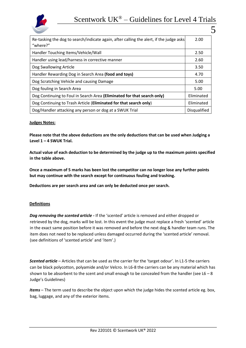



| Re-tasking the dog to search/indicate again, after calling the alert, if the judge asks<br>2.00 |
|-------------------------------------------------------------------------------------------------|
| 2.50                                                                                            |
| 2.60                                                                                            |
| 3.50                                                                                            |
| 4.70                                                                                            |
| 5.00                                                                                            |
| 5.00                                                                                            |
| Eliminated                                                                                      |
| Eliminated                                                                                      |
| <b>Disqualified</b>                                                                             |
|                                                                                                 |

## **Judges Notes:**

**Please note that the above deductions are the only deductions that can be used when Judging a Level 1 – 4 SWUK Trial.** 

**Actual value of each deduction to be determined by the judge up to the maximum points specified in the table above.**

**Once a maximum of 5 marks has been lost the competitor can no longer lose any further points but may continue with the search except for continuous fouling and trashing.** 

**Deductions are per search area and can only be deducted once per search.** 

#### **Definitions**

*Dog removing the scented article -* If the 'scented' article is removed and either dropped or retrieved by the dog, marks will be lost. In this event the judge must replace a fresh 'scented' article in the exact same position before it was removed and before the next dog & handler team runs. The item does not need to be replaced unless damaged occurred during the 'scented article' removal. (see definitions of 'scented article' and 'item'.)

*Scented article* – Articles that can be used as the carrier for the 'target odour'. In L1-5 the carriers can be black polycotton, polyamide and/or Velcro. In L6-8 the carriers can be any material which has shown to be absorbent to the scent and small enough to be concealed from the handler (see  $L6 - 8$ ) Judge's Guidelines)

*Items* – The term used to describe the object upon which the judge hides the scented article eg. box, bag, luggage, and any of the exterior items.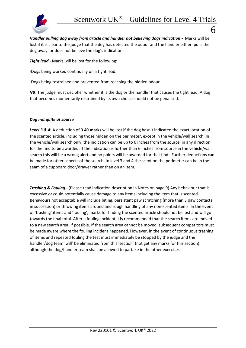

*Handler pulling dog away from article and handler not believing dogs indication -* Marks will be lost if it is clear to the judge that the dog has detected the odour and the handler either 'pulls the dog away' or does not believe the dog's indication.

*Tight lead* - Marks will be lost for the following:

-Dogs being worked continually on a tight lead.

-Dogs being restrained and prevented from reaching the hidden odour.

**NB:** The judge must decipher whether it is the dog or the handler that causes the tight lead. A dog that becomes momentarily restrained by its own choice should not be penalised.

# *Dog not quite at source*

*Level 3 & 4***:** A deduction of 0.40 **marks** will be lost if the dog hasn't indicated the exact location of the scented article, including those hidden on the perimeter, except in the vehicle/wall search. In the vehicle/wall search only, the indication can be up to 6 inches from the source, in any direction, for the find to be awarded; if the indication is further than 6 inches from source in the vehicle/wall search this will be a wrong alert and no points will be awarded for that find. Further deductions can be made for other aspects of the search. In level 3 and 4 the scent on the perimeter can be in the seam of a cupboard door/drawer rather than on an item.

*Trashing & Fouling -* (Please read indication description in Notes on page 9) Any behaviour that is excessive or could potentially cause damage to any items including the item that is scented. Behaviours not acceptable will include biting, persistent paw scratching (more than 3 paw contacts in succession) or throwing items around and rough handling of any non-scented items. In the event of 'trashing' items and 'fouling', marks for finding the scented article should not be lost and will go towards the final total. After a fouling incident it is recommended that the search items are moved to a new search area, if possible. If the search area cannot be moved, subsequent competitors must be made aware where the fouling incident happened. However, in the event of continuous trashing of items and repeated fouling the test must immediately be stopped by the judge and the handler/dog team 'will' be eliminated from this 'section' (not get any marks for this section) although the dog/handler team shall be allowed to partake in the other exercises.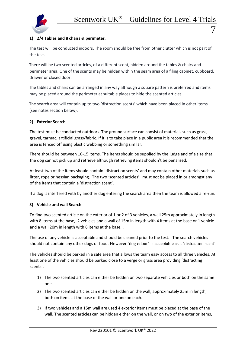

The test will be conducted indoors. The room should be free from other clutter which is not part of the test.

There will be two scented articles, of a different scent, hidden around the tables & chairs and perimeter area. One of the scents may be hidden within the seam area of a filing cabinet, cupboard, drawer or closed door.

The tables and chairs can be arranged in any way although a square pattern is preferred and items may be placed around the perimeter at suitable places to hide the scented articles.

The search area will contain up to two 'distraction scents' which have been placed in other items (see notes section below).

# **2) Exterior Search**

The test must be conducted outdoors. The ground surface can consist of materials such as grass, gravel, tarmac, artificial grass/fabric. If it is to take place in a public area it is recommended that the area is fenced off using plastic webbing or something similar.

There should be between 10-15 items. The items should be supplied by the judge and of a size that the dog cannot pick up and retrieve although retrieving items shouldn't be penalised.

At least two of the items should contain 'distraction scents' and may contain other materials such as litter, rope or hessian packaging. The two 'scented articles' must not be placed in or amongst any of the items that contain a 'distraction scent'.

If a dog is interfered with by another dog entering the search area then the team is allowed a re-run.

# **3) Vehicle and wall Search**

To find two scented article on the exterior of 1 or 2 of 3 vehicles, a wall 25m approximately in length with 8 items at the base, 2 vehicles and a wall of 15m in length with 4 items at the base or 1 vehicle and a wall 20m in length with 6 items at the base. .

The use of any vehicle is acceptable and should be cleaned prior to the test. The search vehicles should not contain any other dogs or food. However 'dog odour' is acceptable as a 'distraction scent'

The vehicles should be parked in a safe area that allows the team easy access to all three vehicles. At least one of the vehicles should be parked close to a verge or grass area providing 'distracting scents'.

- 1) The two scented articles can either be hidden on two separate vehicles or both on the same one.
- 2) The two scented articles can either be hidden on the wall, approximately 25m in length, both on items at the base of the wall or one on each.
- 3) If two vehicles and a 15m wall are used 4 exterior items must be placed at the base of the wall. The scented articles can be hidden either on the wall, or on two of the exterior items,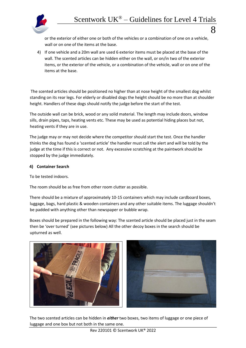

or the exterior of either one or both of the vehicles or a combination of one on a vehicle, wall or on one of the items at the base.

4) If one vehicle and a 20m wall are used 6 exterior items must be placed at the base of the wall. The scented articles can be hidden either on the wall, or on/in two of the exterior items, or the exterior of the vehicle, or a combination of the vehicle, wall or on one of the items at the base.

The scented articles should be positioned no higher than at nose height of the smallest dog whilst standing on its rear legs. For elderly or disabled dogs the height should be no more than at shoulder height. Handlers of these dogs should notify the judge before the start of the test.

The outside wall can be brick, wood or any solid material. The length may include doors, window sills, drain pipes, taps, heating vents etc. These may be used as potential hiding places but not, heating vents if they are in use.

The judge may or may not decide where the competitor should start the test. Once the handler thinks the dog has found a 'scented article' the handler must call the alert and will be told by the judge at the time if this is correct or not. Any excessive scratching at the paintwork should be stopped by the judge immediately.

# **4) Container Search**

To be tested indoors.

The room should be as free from other room clutter as possible.

There should be a mixture of approximately 10-15 containers which may include cardboard boxes, luggage, bags, hard plastic & wooden containers and any other suitable items. The luggage shouldn't be padded with anything other than newspaper or bubble wrap.

Boxes should be prepared in the following way: The scented article should be placed just in the seam then be 'over turned' (see pictures below) All the other decoy boxes in the search should be upturned as well.



The two scented articles can be hidden in *either* two boxes, two items of luggage or one piece of luggage and one box but not both in the same one.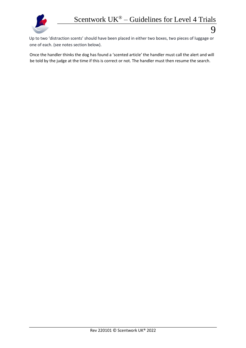Up to two 'distraction scents' should have been placed in either two boxes, two pieces of luggage or one of each. (see notes section below).

Once the handler thinks the dog has found a 'scented article' the handler must call the alert and will be told by the judge at the time if this is correct or not. The handler must then resume the search.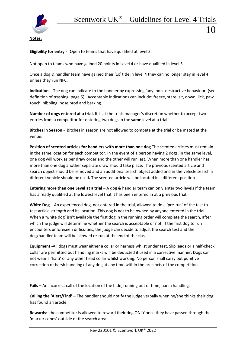

**Eligibility for entry** - Open to teams that have qualified at level 3.

Not open to teams who have gained 20 points in Level 4 or have qualified in level 5

Once a dog & handler team have gained their 'Ex' title in level 4 they can no longer stay in level 4 unless they run NFC.

**Indication** - The dog can indicate to the handler by expressing 'any' non- destructive behaviour. (see definition of trashing, page 5). Acceptable indications can include: freeze, stare, sit, down, lick, paw touch, nibbling, nose prod and barking.

**Number of dogs entered at a trial.** It is at the trials manager's discretion whether to accept two entries from a competitor for entering two dogs in the **same** level at a trial.

**Bitches in Season** - Bitches in season are not allowed to compete at the trial or be mated at the venue.

**Position of scented articles for handlers with more than one dog** The scented articles must remain in the same location for each competitor. In the event of a person having 2 dogs, in the same level, one dog will work as per draw order and the other will run last. When more than one handler has more than one dog another separate draw should take place. The previous scented article and search object should be removed and an additional search object added and in the vehicle search a different vehicle should be used*.* The scented article will be located in a different position.

**Entering more than one Level at a trial –** A dog & handler team can only enter two levels if the team has already qualified at the lowest level that it has been entered in at a previous trial.

**White Dog –** An experienced dog, not entered in the trial, allowed to do a 'pre-run' of the test to test article strength and its location. This dog is not to be owned by anyone entered in the trial. . When a 'white dog' isn't available the first dog in the running order will complete the search, after which the judge will determine whether the search is acceptable or not. If the first dog to run encounters unforeseen difficulties, the judge can decide to adjust the search test and the dog/handler team will be allowed re-run at the end of the class.

**Equipment -**All dogs must wear either a collar or harness whilst under test. Slip leads or a half-check collar are permitted but handling marks will be deducted if used in a corrective manner. Dogs can not wear a 'halti' or any other head collar whilst working. No person shall carry out punitive correction or harsh handling of any dog at any time within the precincts of the competition.

**Fails –** An incorrect call of the location of the hide, running out of time, harsh handling.

**Calling the 'Alert/Find' –** The handler should notify the judge verbally when he/she thinks their dog has found an article.

**Rewards**: the competitor is allowed to reward their dog ONLY once they have passed through the 'marker cones' outside of the search area.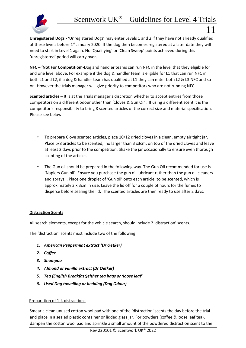

**Unregistered Dogs -** 'Unregistered Dogs' may enter Levels 1 and 2 if they have not already qualified at these levels before 1<sup>st</sup> January 2020. If the dog then becomes registered at a later date they will need to start in Level 1 again. No 'Qualifying' or 'Clean Sweep' points achieved during this 'unregistered' period will carry over.

**NFC – 'Not For Competition'-**Dog and handler teams can run NFC in the level that they eligible for and one level above. For example if the dog & handler team is eligible for L1 that can run NFC in both L1 and L2, if a dog & handler team has qualified at L1 they can enter both L2 & L3 NFC and so on. However the trials manager will give priority to competitors who are not running NFC

**Scented articles** – It is at the Trials manager's discretion whether to accept entries from those competitors on a different odour other than 'Cloves & Gun Oil'. If using a different scent it is the competitor's responsibility to bring 8 scented articles of the correct size and material specification. Please see below.

- To prepare Clove scented articles, place 10/12 dried cloves in a clean, empty air tight jar. Place 6/8 articles to be scented, no larger than 3 x3cm, on top of the dried cloves and leave at least 2 days prior to the competition. Shake the jar occasionally to ensure even thorough scenting of the articles.
- The Gun oil should be prepared in the following way. The Gun Oil recommended for use is 'Napiers Gun oil'. Ensure you purchase the gun oil lubricant rather than the gun oil cleaners and sprays. . Place one droplet of 'Gun oil' onto each article, to be scented, which is approximately 3 x 3cm in size. Leave the lid off for a couple of hours for the fumes to disperse before sealing the lid. The scented articles are then ready to use after 2 days.

# **Distraction Scents**

All search elements, except for the vehicle search, should include 2 'distraction' scents.

The 'distraction' scents must include two of the following:

- *1. American Peppermint extract (Dr Oetker)*
- *2. Coffee*
- *3. Shampoo*
- *4. Almond or vanilla extract (Dr Oetker)*
- *5. Tea (English Breakfast)either tea bags or 'loose leaf'*
- *6. Used Dog towelling or bedding (Dog Odour)*

# Preparation of 1-4 distractions

Smear a clean unused cotton wool pad with one of the 'distraction' scents the day before the trial and place in a sealed plastic container or lidded glass jar. For powders (coffee & loose leaf tea), dampen the cotton wool pad and sprinkle a small amount of the powdered distraction scent to the